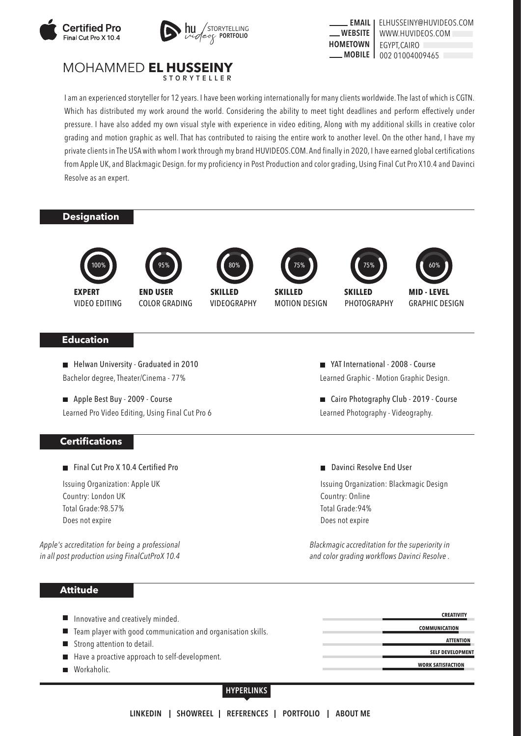





#### MOHAMMED **EL HUSSEINY STORYTELLER**

I am an experienced storyteller for 12 years. I have been working internationally for many clients worldwide. The last of which is CGTN. Which has distributed my work around the world. Considering the ability to meet tight deadlines and perform effectively under pressure. I have also added my own visual style with experience in video editing, Along with my additional skills in creative color grading and motion graphic as well. That has contributed to raising the entire work to another level. On the other hand, I have my private clients in The USA with whom I work through my brand HUVIDEOS.COM. And finally in 2020, I have earned global certifications from Apple UK, and Blackmagic Design. for my proficiency in Post Production and color grading, Using Final Cut Pro X10.4 and Davinci Resolve as an expert.

## **Designation**





VIDEO EDITING **EXPERT**

COLOR GRADING **END USER**

VIDEOGRAPHY **SKILLED** 80 %



MOTION DESIGN



PHOTOGRAPHY



■ YAT International - 2008 - Course Learned Graphic - Motion Graphic Design.

Learned Photography - Videography.

Davinci Resolve End User

Country: Online Total Grade:94% Does not expire

■ Cairo Photography Club - 2019 - Course

GRAPHIC DESIGN **MID - LEVEL**

60 %

# **Education**

**Helwan University - Graduated in 2010** Bachelor degree, Theater/Cinema - 77%

Apple Best Buy - 2009 - Course Learned Pro Video Editing, Using Final Cut Pro 6

### **Certifications**

Final Cut Pro X 10.4 Certified Pro

Issuing Organization: Apple UK Country: London UK Total Grade:98.57% Does not expire

*Apple's accreditation for being a professional in all post production using FinalCutProX 10.4*

### **Attitude**

*Blackmagic accreditation for the superiority in and color grading workflows Davinci Resolve .*

Issuing Organization: Blackmagic Design

| Innovative and creatively minded.                              | <b>CREATIVITY</b>        |
|----------------------------------------------------------------|--------------------------|
| ■ Team player with good communication and organisation skills. | <b>COMMUNICATION</b>     |
| Strong attention to detail.                                    | <b>ATTENTION</b>         |
| Have a proactive approach to self-development.                 | <b>SELF DEVELOPMENT</b>  |
| ■ Workaholic.                                                  | <b>WORK SATISFACTION</b> |

### **HYPERLINKS**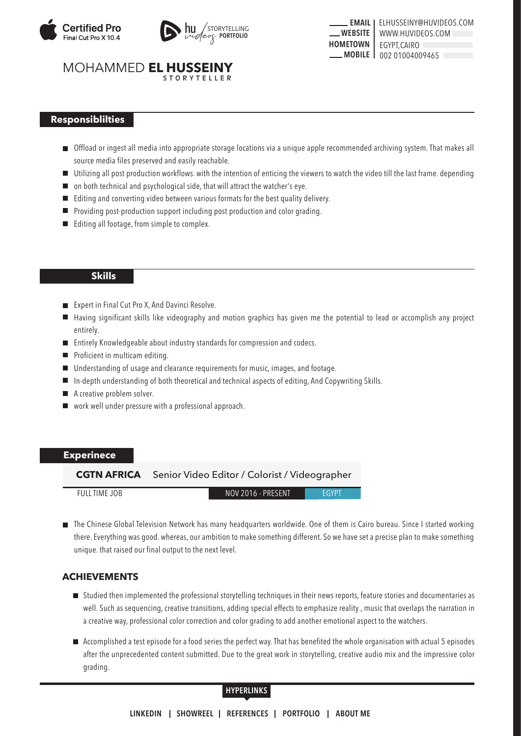



**EMAIL | ELHUSSEINY@HUVIDEOS.COM WEBSITE HOMETOWN MOBILE** 002 01004009465 EGYPT,CAIRO WWW.HUVIDEOS.COM

#### MOHAMMED **EL HUSSEINY STORYTELLER**

## **Responsiblilties**

- Offload or ingest all media into appropriate storage locations via a unique apple recommended archiving system. That makes all source media files preserved and easily reachable.
- Utilizing all post production workflows. with the intention of enticing the viewers to watch the video till the last frame. depending
- on both technical and psychological side, that will attract the watcher's eye.
- Editing and converting video between various formats for the best quality delivery. П
- **Providing post-production support including post production and color grading.**
- **EDIM** Editing all footage, from simple to complex.

### **Skills**

- Expert in Final Cut Pro X, And Davinci Resolve.
- Having significant skills like videography and motion graphics has given me the potential to lead or accomplish any project **In** entirely.
- Entirely Knowledgeable about industry standards for compression and codecs.
- Proficient in multicam editing.
- Understanding of usage and clearance requirements for music, images, and footage.  $\blacksquare$
- In-depth understanding of both theoretical and technical aspects of editing, And Copywriting Skills.  $\Box$
- A creative problem solver. П
- work well under pressure with a professional approach.

## **Experinece**

**CGTN AFRICA** Senior Video Editor / Colorist / Videographer

FULL TIME JOB NOV 2016 - PRESENT

**EGYPT** 

The Chinese Global Television Network has many headquarters worldwide. One of them is Cairo bureau. Since I started working there. Everything was good. whereas, our ambition to make something different. So we have set a precise plan to make something unique. that raised our final output to the next level.

## **ACHIEVEMENTS**

- Studied then implemented the professional storytelling techniques in their news reports, feature stories and documentaries as well. Such as sequencing, creative transitions, adding special effects to emphasize reality , music that overlaps the narration in a creative way, professional color correction and color grading to add another emotional aspect to the watchers.
- Accomplished a test episode for a food series the perfect way. That has benefited the whole organisation with actual 5 episodes after the unprecedented content submitted. Due to the great work in storytelling, creative audio mix and the impressive color grading.

#### **HYPERLINKS**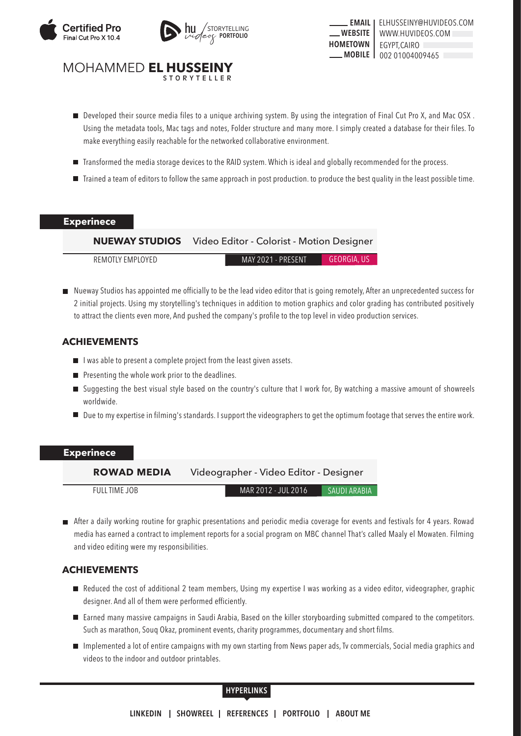



**EMAIL | ELHUSSEINY@HUVIDEOS.COM WEBSITE HOMETOWN MOBILE** 002 01004009465 EGYPT,CAIRO WWW.HUVIDEOS.COM

#### MOHAMMED **EL HUSSEINY STORYTELLER**

- Developed their source media files to a unique archiving system. By using the integration of Final Cut Pro X, and Mac OSX . Using the metadata tools, Mac tags and notes, Folder structure and many more. I simply created a database for their files. To make everything easily reachable for the networked collaborative environment.
- Transformed the media storage devices to the RAID system. Which is ideal and globally recommended for the process.
- Trained a team of editors to follow the same approach in post production. to produce the best quality in the least possible time.

#### **Experinece**

## **NUEWAY STUDIOS** Video Editor - Colorist - Motion Designer

REMOTLY EMPLOYED MAY 2021 - PRESENT GEORGIA, US

Nueway Studios has appointed me officially to be the lead video editor that is going remotely, After an unprecedented success for 2 initial projects. Using my storytelling's techniques in addition to motion graphics and color grading has contributed positively to attract the clients even more, And pushed the company's profile to the top level in video production services.

## **ACHIEVEMENTS**

- $\blacksquare$  I was able to present a complete project from the least given assets.
- $\blacksquare$  Presenting the whole work prior to the deadlines.
- Suggesting the best visual style based on the country's culture that I work for, By watching a massive amount of showreels worldwide.
- Due to my expertise in filming's standards. I support the videographers to get the optimum footage that serves the entire work.

### **Experinece**

SAUDI ARABIA **ROWAD MEDIA** Videographer - Video Editor - Designer FULL TIME JOB MAR 2012 - JUL 2016

After a daily working routine for graphic presentations and periodic media coverage for events and festivals for 4 years. Rowad media has earned a contract to implement reports for a social program on MBC channel That's called Maaly el Mowaten. Filming and video editing were my responsibilities.

## **ACHIEVEMENTS**

- Reduced the cost of additional 2 team members, Using my expertise I was working as a video editor, videographer, graphic designer. And all of them were performed efficiently.
- Earned many massive campaigns in Saudi Arabia, Based on the killer storyboarding submitted compared to the competitors. Such as marathon, Souq Okaz, prominent events, charity programmes, documentary and short films.
- Implemented a lot of entire campaigns with my own starting from News paper ads, Tv commercials, Social media graphics and videos to the indoor and outdoor printables.

### **HYPERLINKS**